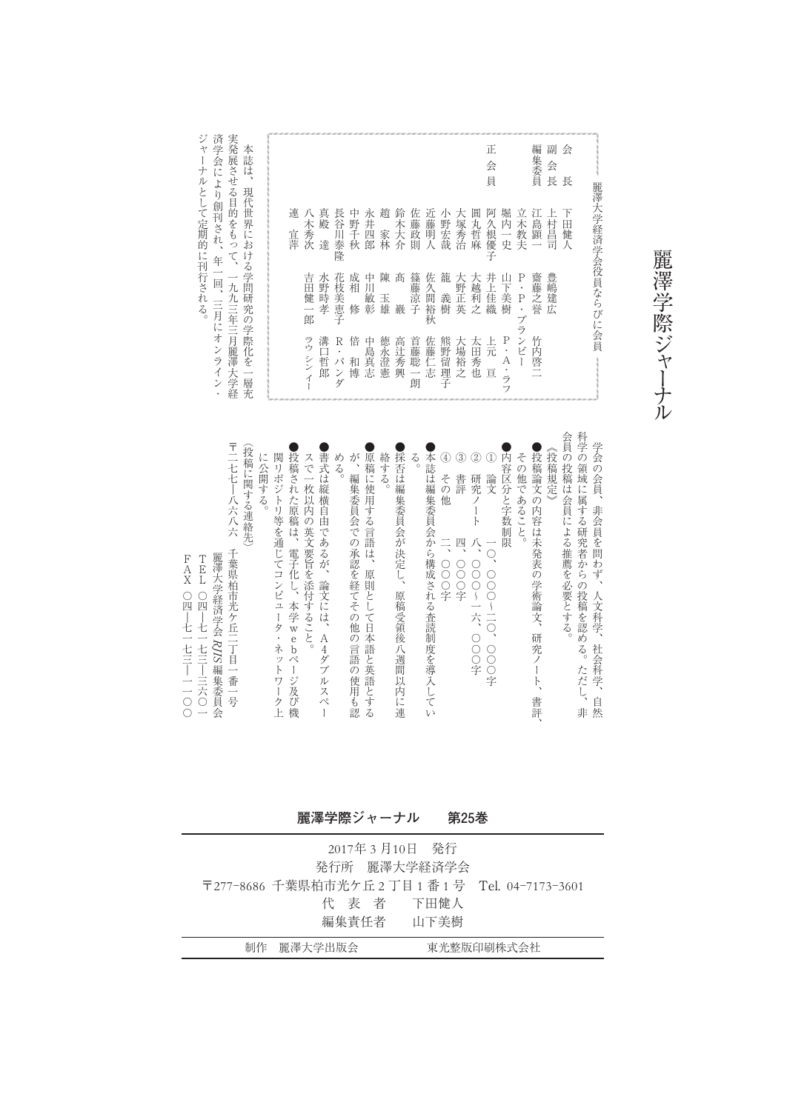| 隆<br>篠<br>豊<br>吉<br>髙<br>佐<br>籠<br>齋<br>花<br>成<br>中<br>陳<br>$\mathbf P$<br>大<br>井<br>Ш<br>水<br>大<br>藤<br>藤涼<br>越利<br>嶋<br>野<br>枝<br>野正英<br>⊞<br>相<br>Ш<br>久<br>F.<br>T<br>$\ddot{\phantom{0}}$<br>一佳織<br>美<br>間裕<br>美<br>建広<br>敏彰<br>義樹<br>之誉<br>時<br>健<br>玉<br>P<br>恵<br>雄<br>ž<br>孝<br>子<br>樹<br>修<br>巖<br>$\blacksquare$ | 連<br>宜萍 | 八<br>木<br>秀 | 真<br>殿 | 長<br>谷<br>川 | 中<br>野千 | 永<br>井四 | 趙<br>家林 | 鈴<br>木<br>大 | 佐<br>藤政 | 近<br>藤明 | 小<br>野宏 | 大<br>(塚秀治 | 圓<br>丸哲 | 会<br>員<br>阿<br>久根 | 堀<br>内<br>$\overline{\phantom{0}}$ | 立<br>木<br>教 | 集委員<br>ŸĽ.<br>島<br>顕 | 会<br>長<br>Ł<br>村<br>름 | 長<br>Ŧ<br>⊞<br>健 |
|-----------------------------------------------------------------------------------------------------------------------------------------------------------------------------------------------------------------------------------------------------------------------------------------------------------------------------|---------|-------------|--------|-------------|---------|---------|---------|-------------|---------|---------|---------|-----------|---------|-------------------|------------------------------------|-------------|----------------------|-----------------------|------------------|
|                                                                                                                                                                                                                                                                                                                             |         | 次<br>郎      | 達      | 泰<br>子      | 秋       | 郎       |         | 介           | 則       | 人<br>秋  | 哉       |           | 麻       | 優                 | 史                                  | 夫           |                      | 司                     |                  |

ジャーナルとして定期的に刊行される。

麗 澤 学 際 ジ ャ ー ナ ル

すすすすすす 医表悟 プロプログラフ 全国アプログラム こくしょく アクトリング ĺ フ 充 実発展させる目的をもって、一九九三年三月麗澤大学経 済学会により創刊され、年一回、三月にオンライン・ 学会の会員、非会員を問わず、人文科学、社会科学、自然 科学の領域に属する研究者からの投稿を認める。ただし、非 会員の投稿は会員による推薦を必要とする。 《投稿規定》 ●投稿論文の内容は未発表の学術論文、研究ノート、 書評、 その他であること。 ●内容区分と字数制限 ① ② 論 文 一〇、〇〇〇〜二〇、〇〇〇字 研究ノート 八、〇〇〇〜一六、〇〇〇字 ③ 書 評 四、〇〇〇字 ④ その他 二、OOO字 ●本誌は編集委員会から構成される査読制度を導入してい る。 ●採否は編集委員会が決定し、原稿受領後八週間以内に連 絡する。 ●原稿に使用する言語は、原則として日本語と英語とする が、編集委員会での承認を経てその他の言語の使用も認 める。 ●書式は縦横自由であるが、論文には、A4ダブルスペー スで一枚以内の英文要旨を添付すること。 ●投稿された原稿は、電子化し、本学webページ及び機 関リポジトリ等を通じてコンピュータ・ネットワーク上 に公開する。 (投稿に関する連絡先) 〒二七七―八六八六 千葉県柏市光ケ丘二丁目一番一号 麗澤大学経済学会 A/IS 編集委員会 T E L ○四─七一七三─三六○一 F A X ○四─七一七三 │ │ │ ○○

**麗澤学際ジャーナル 第25巻**

| 2017年 3 月10日  発行<br>発行所 麗澤大学経済学会<br>〒277-8686 千葉県柏市光ケ丘2丁目1番1号 Tel. 04-7173-3601<br>代 表 者 下田健人<br>編集責任者 山下美樹 |            |
|-------------------------------------------------------------------------------------------------------------|------------|
| 制作 麗澤大学出版会                                                                                                  | 東光整版印刷株式会社 |